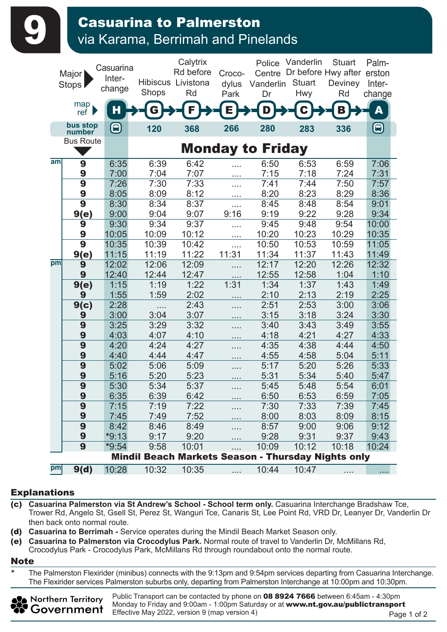## **9 Casuarina to Palmerston**<br>Via Karama, Berrimah and Pinelands

|     | Major  <br>Stops                            | Casuarina<br>Inter-<br>change | Shops                                              | Calytrix<br>Rd before<br>Hibiscus Livistona<br>Rd | Croco-<br>dylus<br>Park | Police<br>Centre<br>Vanderlin<br>Dr | Vanderlin<br><b>Stuart</b><br>Hwy | <b>Stuart</b><br>Dr before Hwy after<br>Deviney<br>Rd | Palm-<br>erston<br>Inter-<br>change |
|-----|---------------------------------------------|-------------------------------|----------------------------------------------------|---------------------------------------------------|-------------------------|-------------------------------------|-----------------------------------|-------------------------------------------------------|-------------------------------------|
|     | map<br>ref                                  | Н                             |                                                    | F                                                 | Ē                       | D                                   |                                   | В                                                     | A                                   |
|     | bus stop<br>number                          | 8                             | 120                                                | 368                                               | 266                     | 280                                 | 283                               | 336                                                   | 8                                   |
|     | <b>Bus Route</b><br><b>Monday to Friday</b> |                               |                                                    |                                                   |                         |                                     |                                   |                                                       |                                     |
| aml |                                             |                               |                                                    |                                                   |                         |                                     |                                   |                                                       |                                     |
|     | 9<br>9                                      | 6:35<br>7:00                  | 6:39<br>7:04                                       | 6:42<br>7:07                                      |                         | 6:50<br>7:15                        | 6:53<br>7:18                      | 6:59<br>7:24                                          | 7:06<br>7:31                        |
|     | 9                                           | 7:26                          | 7:30                                               | 7:33                                              | $\cdots$                | 7:41                                | 7:44                              | 7:50                                                  | 7:57                                |
|     | 9                                           | 8:05                          | 8:09                                               | 8:12                                              | .<br>$\cdots$           | 8:20                                | 8:23                              | 8:29                                                  | 8:36                                |
|     | 9                                           | 8:30                          | 8:34                                               | 8:37                                              | .                       | 8:45                                | 8:48                              | 8:54                                                  | 9:01                                |
|     | 9(e)                                        | 9:00                          | 9:04                                               | 9:07                                              | 9:16                    | 9:19                                | 9:22                              | 9:28                                                  | 9:34                                |
|     | 9                                           | 9:30                          | 9:34                                               | 9:37                                              | .                       | 9:45                                | 9:48                              | 9:54                                                  | 10:00                               |
|     | 9                                           | 10:05                         | 10:09                                              | 10:12                                             | $\cdots$                | 10:20                               | 10:23                             | 10:29                                                 | 10:35                               |
|     | 9                                           | 10:35                         | 10:39                                              | 10:42                                             | .                       | 10:50                               | 10:53                             | 10:59                                                 | 11:05                               |
|     | 9(e)                                        | 11:15                         | 11:19                                              | 11:22                                             | 11:31                   | 11:34                               | 11:37                             | 11:43                                                 | 11:49                               |
| pm  | 9                                           | 12:02                         | 12:06                                              | 12:09                                             | .                       | 12:17                               | 12:20                             | 12:26                                                 | 12:32                               |
|     | 9                                           | 12:40                         | 12:44                                              | 12:47                                             | $\cdots$                | 12:55                               | 12:58                             | 1:04                                                  | 1:10                                |
|     | 9(e)                                        | 1:15                          | 1:19                                               | 1:22                                              | 1:31                    | 1:34                                | 1:37                              | 1:43                                                  | 1:49                                |
|     | 9                                           | 1:55                          | 1:59                                               | 2:02                                              |                         | 2:10                                | 2:13                              | 2:19                                                  | 2:25                                |
|     | 9(c)                                        | 2:28                          | .                                                  | 2:43                                              | .                       | 2:51                                | 2:53                              | 3:00                                                  | 3:06                                |
|     | 9<br>9                                      | 3:00<br>3:25                  | 3:04<br>3:29                                       | 3:07<br>3:32                                      | $\cdots$                | 3:15<br>3:40                        | 3:18<br>3:43                      | 3:24<br>3:49                                          | 3:30<br>3:55                        |
|     | 9                                           | 4:03                          | 4:07                                               | 4:10                                              | .                       | 4:18                                | 4:21                              | 4:27                                                  | 4:33                                |
|     | 9                                           | 4:20                          | 4:24                                               | 4:27                                              |                         | 4:35                                | 4:38                              | 4:44                                                  | 4:50                                |
|     | 9                                           | 4:40                          | 4:44                                               | 4:47                                              | .                       | 4:55                                | 4:58                              | 5:04                                                  | 5:11                                |
|     | 9                                           | 5:02                          | 5:06                                               | 5:09                                              | .                       | 5:17                                | 5:20                              | 5:26                                                  | 5:33                                |
|     | 9                                           | 5:16                          | 5:20                                               | 5:23                                              | $\cdots$                | 5:31                                | 5:34                              | 5:40                                                  | 5:47                                |
|     | $\overline{9}$                              | 5:30                          | 5:34                                               | 5:37                                              | $\cdots$                | 5:45                                | 5:48                              | 5:54                                                  | 6:01                                |
|     | 9                                           | 6:35                          | 6:39                                               | 6:42                                              |                         | 6:50                                | 6:53                              | 6:59                                                  | 7:05                                |
|     | 9                                           | 7:15                          | 7:19                                               | 7:22                                              |                         | 7:30                                | 7:33                              | 7:39                                                  | 7:45                                |
|     | 9                                           | 7:45                          | 7:49                                               | 7:52                                              |                         | 8:00                                | 8:03                              | 8:09                                                  | 8:15                                |
|     | 9                                           | 8:42                          | 8:46                                               | 8:49                                              |                         | 8:57                                | 9:00                              | 9:06                                                  | 9:12                                |
|     | 9                                           | $*9:13$                       | 9:17                                               | 9:20                                              |                         | 9:28                                | 9:31                              | 9:37                                                  | 9:43                                |
|     | $\overline{9}$                              | $*9:54$                       | 9:58                                               | 10:01                                             | .                       | 10:09                               | 10:12                             | 10:18                                                 | 10:24                               |
|     |                                             |                               | Mindil Beach Markets Season - Thursday Nights only |                                                   |                         |                                     |                                   |                                                       |                                     |
| pm  | 9(d)                                        | 10:28                         | 10:32                                              | 10:35                                             | .                       | 10:44                               | 10:47                             |                                                       | .                                   |

## Explanations

- (c) **Casuarina Palmerston via St Andrew's School School term only.** Casuarina Interchange Bradshaw Tce, Trower Rd, Angelo St, Gsell St, Perez St, Wanguri Tce, Canaris St, Lee Point Rd, VRD Dr, Leanyer Dr, Vanderlin Dr then back onto normal route.
- (d) **Casuarina to Berrimah** Service operates during the Mindil Beach Market Season only.
- (e) **Casuarina to Palmerston via Crocodylus Park.** Normal route of travel to Vanderlin Dr, McMillans Rd, Crocodylus Park - Crocodylus Park, McMillans Rd through roundabout onto the normal route.

## Note

The Palmerston Flexirider (minibus) connects with the 9:13pm and 9:54pm services departing from Casuarina Interchange. The Flexirider services Palmerston suburbs only, departing from Palmerston Interchange at 10:00pm and 10:30pm.



Public Transport can be contacted by phone on 08 8924 7666 between 6:45am - 4:30pm Monday to Friday and 9:00am - 1:00pm Saturday or at www.nt.gov.au/publictransport Effective May 2022, version 9 (map version 4)